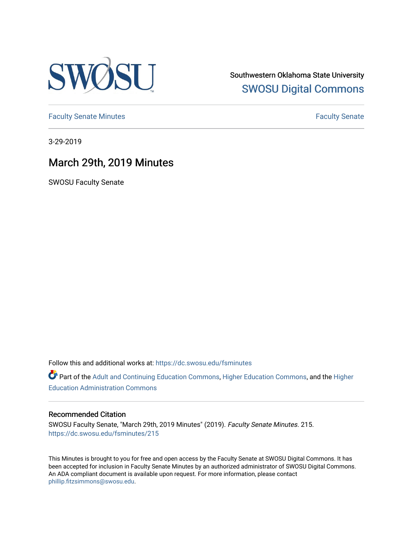

Southwestern Oklahoma State University [SWOSU Digital Commons](https://dc.swosu.edu/) 

[Faculty Senate Minutes](https://dc.swosu.edu/fsminutes) **Faculty** Senate Minutes

3-29-2019

# March 29th, 2019 Minutes

SWOSU Faculty Senate

Follow this and additional works at: [https://dc.swosu.edu/fsminutes](https://dc.swosu.edu/fsminutes?utm_source=dc.swosu.edu%2Ffsminutes%2F215&utm_medium=PDF&utm_campaign=PDFCoverPages) 

Part of the [Adult and Continuing Education Commons,](http://network.bepress.com/hgg/discipline/1375?utm_source=dc.swosu.edu%2Ffsminutes%2F215&utm_medium=PDF&utm_campaign=PDFCoverPages) [Higher Education Commons,](http://network.bepress.com/hgg/discipline/1245?utm_source=dc.swosu.edu%2Ffsminutes%2F215&utm_medium=PDF&utm_campaign=PDFCoverPages) and the [Higher](http://network.bepress.com/hgg/discipline/791?utm_source=dc.swosu.edu%2Ffsminutes%2F215&utm_medium=PDF&utm_campaign=PDFCoverPages) [Education Administration Commons](http://network.bepress.com/hgg/discipline/791?utm_source=dc.swosu.edu%2Ffsminutes%2F215&utm_medium=PDF&utm_campaign=PDFCoverPages) 

#### Recommended Citation

SWOSU Faculty Senate, "March 29th, 2019 Minutes" (2019). Faculty Senate Minutes. 215. [https://dc.swosu.edu/fsminutes/215](https://dc.swosu.edu/fsminutes/215?utm_source=dc.swosu.edu%2Ffsminutes%2F215&utm_medium=PDF&utm_campaign=PDFCoverPages) 

This Minutes is brought to you for free and open access by the Faculty Senate at SWOSU Digital Commons. It has been accepted for inclusion in Faculty Senate Minutes by an authorized administrator of SWOSU Digital Commons. An ADA compliant document is available upon request. For more information, please contact [phillip.fitzsimmons@swosu.edu](mailto:phillip.fitzsimmons@swosu.edu).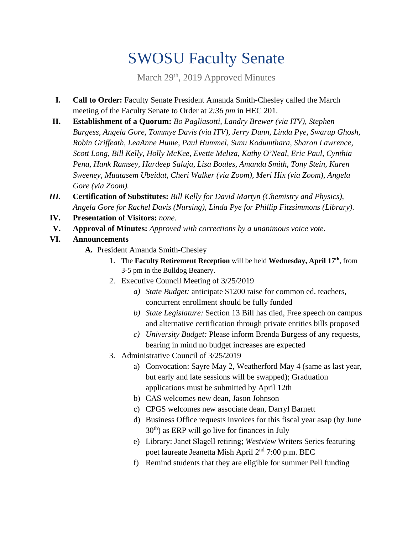# SWOSU Faculty Senate

March 29<sup>th</sup>, 2019 Approved Minutes

- **I. Call to Order:** Faculty Senate President Amanda Smith-Chesley called the March meeting of the Faculty Senate to Order at *2:36 pm* in HEC 201.
- **II. Establishment of a Quorum:** *Bo Pagliasotti, Landry Brewer (via ITV), Stephen Burgess, Angela Gore, Tommye Davis (via ITV), Jerry Dunn, Linda Pye, Swarup Ghosh, Robin Griffeath, LeaAnne Hume, Paul Hummel, Sunu Kodumthara, Sharon Lawrence, Scott Long, Bill Kelly, Holly McKee, Evette Meliza, Kathy O'Neal, Eric Paul, Cynthia Pena, Hank Ramsey, Hardeep Saluja, Lisa Boules, Amanda Smith, Tony Stein, Karen Sweeney, Muatasem Ubeidat, Cheri Walker (via Zoom), Meri Hix (via Zoom), Angela Gore (via Zoom).*
- *III.* **Certification of Substitutes:** *Bill Kelly for David Martyn (Chemistry and Physics), Angela Gore for Rachel Davis (Nursing), Linda Pye for Phillip Fitzsimmons (Library).*
- **IV. Presentation of Visitors:** *none.*
- **V. Approval of Minutes:** *Approved with corrections by a unanimous voice vote.*
- **VI. Announcements** 
	- **A.** President Amanda Smith-Chesley
		- 1. The **Faculty Retirement Reception** will be held **Wednesday, April 17th**, from 3-5 pm in the Bulldog Beanery.
		- 2. Executive Council Meeting of 3/25/2019
			- *a) State Budget:* anticipate \$1200 raise for common ed. teachers, concurrent enrollment should be fully funded
			- *b) State Legislature:* Section 13 Bill has died, Free speech on campus and alternative certification through private entities bills proposed
			- *c) University Budget:* Please inform Brenda Burgess of any requests, bearing in mind no budget increases are expected
		- 3. Administrative Council of 3/25/2019
			- a) Convocation: Sayre May 2, Weatherford May 4 (same as last year, but early and late sessions will be swapped); Graduation applications must be submitted by April 12th
			- b) CAS welcomes new dean, Jason Johnson
			- c) CPGS welcomes new associate dean, Darryl Barnett
			- d) Business Office requests invoices for this fiscal year asap (by June  $30<sup>th</sup>$ ) as ERP will go live for finances in July
			- e) Library: Janet Slagell retiring; *Westview* Writers Series featuring poet laureate Jeanetta Mish April 2nd 7:00 p.m. BEC
			- f) Remind students that they are eligible for summer Pell funding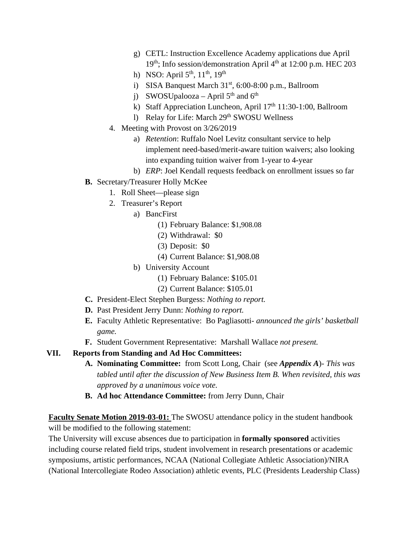- g) CETL: Instruction Excellence Academy applications due April 19<sup>th</sup>; Info session/demonstration April 4<sup>th</sup> at 12:00 p.m. HEC 203
- h) NSO: April  $5^{th}$ ,  $11^{th}$ ,  $19^{th}$
- i) SISA Banquest March 31<sup>st</sup>, 6:00-8:00 p.m., Ballroom
- j) SWOSUpalooza April  $5<sup>th</sup>$  and  $6<sup>th</sup>$
- k) Staff Appreciation Luncheon, April 17<sup>th</sup> 11:30-1:00, Ballroom
- l) Relay for Life: March 29<sup>th</sup> SWOSU Wellness
- 4. Meeting with Provost on 3/26/2019
	- a) *Retention*: Ruffalo Noel Levitz consultant service to help implement need-based/merit-aware tuition waivers; also looking into expanding tuition waiver from 1-year to 4-year
	- b) *ERP*: Joel Kendall requests feedback on enrollment issues so far
- **B.** Secretary/Treasurer Holly McKee
	- 1. Roll Sheet—please sign
	- 2. Treasurer's Report
		- a) BancFirst
			- (1) February Balance: \$1,908.08
			- (2) Withdrawal: \$0
			- (3) Deposit: \$0
			- (4) Current Balance: \$1,908.08
		- b) University Account
			- (1) February Balance: \$105.01
			- (2) Current Balance: \$105.01
- **C.** President-Elect Stephen Burgess: *Nothing to report.*
- **D.** Past President Jerry Dunn: *Nothing to report.*
- **E.** Faculty Athletic Representative: Bo Pagliasotti- *announced the girls' basketball game.*
- **F.** Student Government Representative: Marshall Wallace *not present.*

### **VII. Reports from Standing and Ad Hoc Committees:**

- **A. Nominating Committee:** from Scott Long, Chair (see *Appendix A*)- *This was tabled until after the discussion of New Business Item B. When revisited, this was approved by a unanimous voice vote.*
- **B. Ad hoc Attendance Committee:** from Jerry Dunn, Chair

**Faculty Senate Motion 2019-03-01:** The SWOSU attendance policy in the student handbook will be modified to the following statement:

The University will excuse absences due to participation in **formally sponsored** activities including course related field trips, student involvement in research presentations or academic symposiums, artistic performances, NCAA (National Collegiate Athletic Association)/NIRA (National Intercollegiate Rodeo Association) athletic events, PLC (Presidents Leadership Class)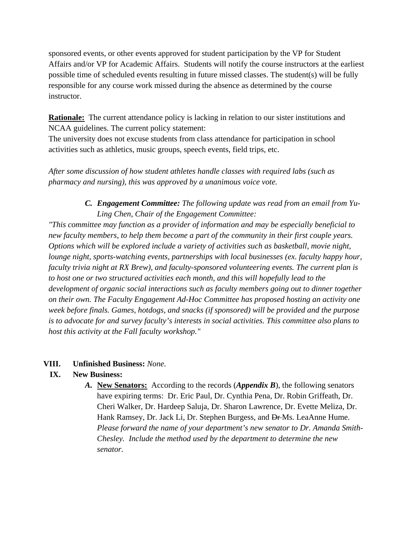sponsored events, or other events approved for student participation by the VP for Student Affairs and/or VP for Academic Affairs. Students will notify the course instructors at the earliest possible time of scheduled events resulting in future missed classes. The student(s) will be fully responsible for any course work missed during the absence as determined by the course instructor.

**Rationale:** The current attendance policy is lacking in relation to our sister institutions and NCAA guidelines. The current policy statement:

The university does not excuse students from class attendance for participation in school activities such as athletics, music groups, speech events, field trips, etc.

*After some discussion of how student athletes handle classes with required labs (such as pharmacy and nursing), this was approved by a unanimous voice vote.* 

### *C. Engagement Committee: The following update was read from an email from Yu-Ling Chen, Chair of the Engagement Committee:*

*"This committee may function as a provider of information and may be especially beneficial to new faculty members, to help them become a part of the community in their first couple years. Options which will be explored include a variety of activities such as basketball, movie night, lounge night, sports-watching events, partnerships with local businesses (ex. faculty happy hour, faculty trivia night at RX Brew), and faculty-sponsored volunteering events. The current plan is to host one or two structured activities each month, and this will hopefully lead to the development of organic social interactions such as faculty members going out to dinner together on their own. The Faculty Engagement Ad-Hoc Committee has proposed hosting an activity one week before finals. Games, hotdogs, and snacks (if sponsored) will be provided and the purpose is to advocate for and survey faculty's interests in social activities. This committee also plans to host this activity at the Fall faculty workshop."* 

### **VIII. Unfinished Business:** *None.*

### **IX. New Business:**

*A.* **New Senators:** According to the records (*Appendix B*), the following senators have expiring terms: Dr. Eric Paul, Dr. Cynthia Pena, Dr. Robin Griffeath, Dr. Cheri Walker, Dr. Hardeep Saluja, Dr. Sharon Lawrence, Dr. Evette Meliza, Dr. Hank Ramsey, Dr. Jack Li, Dr. Stephen Burgess, and <del>Dr</del>-Ms. LeaAnne Hume. *Please forward the name of your department's new senator to Dr. Amanda Smith-Chesley. Include the method used by the department to determine the new senator.*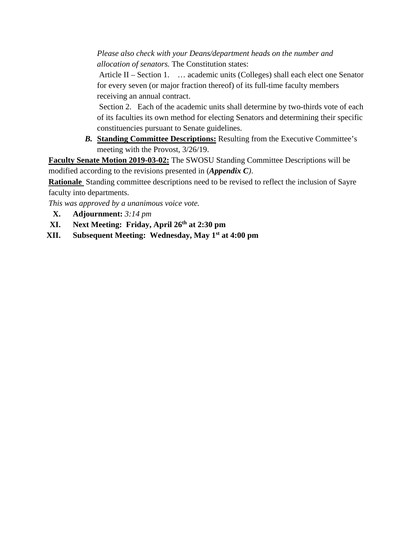*Please also check with your Deans/department heads on the number and allocation of senators.* The Constitution states:

 Article II – Section 1. … academic units (Colleges) shall each elect one Senator for every seven (or major fraction thereof) of its full-time faculty members receiving an annual contract.

 Section 2. Each of the academic units shall determine by two-thirds vote of each of its faculties its own method for electing Senators and determining their specific constituencies pursuant to Senate guidelines.

*B.* **Standing Committee Descriptions:** Resulting from the Executive Committee's meeting with the Provost, 3/26/19.

**Faculty Senate Motion 2019-03-02:** The SWOSU Standing Committee Descriptions will be modified according to the revisions presented in (*Appendix C)*.

**Rationale** Standing committee descriptions need to be revised to reflect the inclusion of Sayre faculty into departments.

*This was approved by a unanimous voice vote.* 

- **X. Adjournment:** *3:14 pm*
- **XI. Next Meeting: Friday, April 26th at 2:30 pm**
- **XII. Subsequent Meeting: Wednesday, May 1st at 4:00 pm**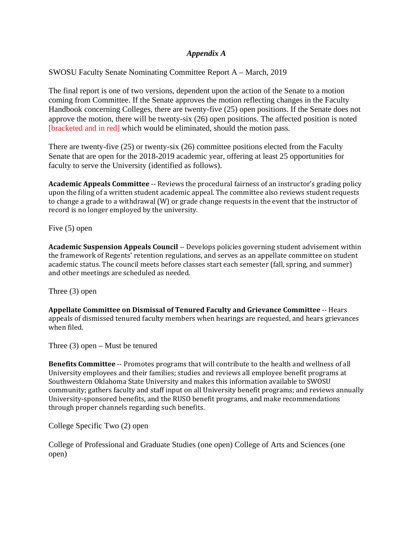#### *Appendix A*

SWOSU Faculty Senate Nominating Committee Report A – March, 2019

The final report is one of two versions, dependent upon the action of the Senate to a motion coming from Committee. If the Senate approves the motion reflecting changes in the Faculty Handbook concerning Colleges, there are twenty-five (25) open positions. If the Senate does not approve the motion, there will be twenty-six (26) open positions. The affected position is noted [bracketed and in red] which would be eliminated, should the motion pass.

There are twenty-five (25) or twenty-six (26) committee positions elected from the Faculty Senate that are open for the 2018-2019 academic year, offering at least 25 opportunities for faculty to serve the University (identified as follows).

**Academic Appeals Committee** -- Reviews the procedural fairness of an instructor's grading policy upon the filing of a written student academic appeal. The committee also reviews student requests to change a grade to a withdrawal (W) or grade change requests in the event that the instructor of record is no longer employed by the university.

Five (5) open

**Academic Suspension Appeals Council** -- Develops policies governing student advisement within the framework of Regents' retention regulations, and serves as an appellate committee on student academic status. The council meets before classes start each semester (fall, spring, and summer) and other meetings are scheduled as needed.

Three (3) open

**Appellate Committee on Dismissal of Tenured Faculty and Grievance Committee** ‐‐ Hears appeals of dismissed tenured faculty members when hearings are requested, and hears grievances when filed.

Three (3) open – Must be tenured

**Benefits Committee** -- Promotes programs that will contribute to the health and wellness of all University employees and their families; studies and reviews all employee benefit programs at Southwestern Oklahoma State University and makes this information available to SWOSU community; gathers faculty and staff input on all University benefit programs; and reviews annually University-sponsored benefits, and the RUSO benefit programs, and make recommendations through proper channels regarding such benefits.

College Specific Two (2) open

College of Professional and Graduate Studies (one open) College of Arts and Sciences (one open)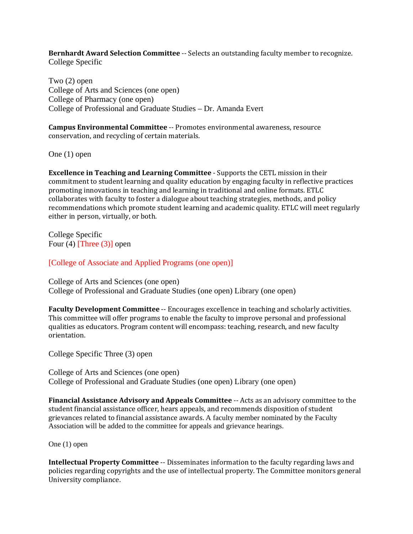**Bernhardt Award Selection Committee --** Selects an outstanding faculty member to recognize. College Specific

Two (2) open College of Arts and Sciences (one open) College of Pharmacy (one open) College of Professional and Graduate Studies – Dr. Amanda Evert

**Campus Environmental Committee** -- Promotes environmental awareness, resource conservation, and recycling of certain materials.

One (1) open

**Excellence in Teaching and Learning Committee** - Supports the CETL mission in their commitment to student learning and quality education by engaging faculty in reflective practices promoting innovations in teaching and learning in traditional and online formats. ETLC collaborates with faculty to foster a dialogue about teaching strategies, methods, and policy recommendations which promote student learning and academic quality. ETLC will meet regularly either in person, virtually, or both.

College Specific Four (4) [Three (3)] open

[College of Associate and Applied Programs (one open)]

College of Arts and Sciences (one open) College of Professional and Graduate Studies (one open) Library (one open)

**Faculty Development Committee** -- Encourages excellence in teaching and scholarly activities. This committee will offer programs to enable the faculty to improve personal and professional qualities as educators. Program content will encompass: teaching, research, and new faculty orientation. 

College Specific Three (3) open

College of Arts and Sciences (one open) College of Professional and Graduate Studies (one open) Library (one open)

**Financial Assistance Advisory and Appeals Committee** -- Acts as an advisory committee to the student financial assistance officer, hears appeals, and recommends disposition of student grievances related to financial assistance awards. A faculty member nominated by the Faculty Association will be added to the committee for appeals and grievance hearings.

One (1) open

**Intellectual Property Committee** -- Disseminates information to the faculty regarding laws and policies regarding copyrights and the use of intellectual property. The Committee monitors general University compliance.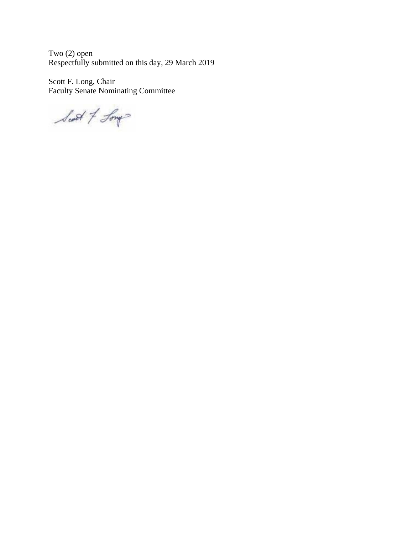Two (2) open Respectfully submitted on this day, 29 March 2019

Scott F. Long, Chair Faculty Senate Nominating Committee

Scott of Long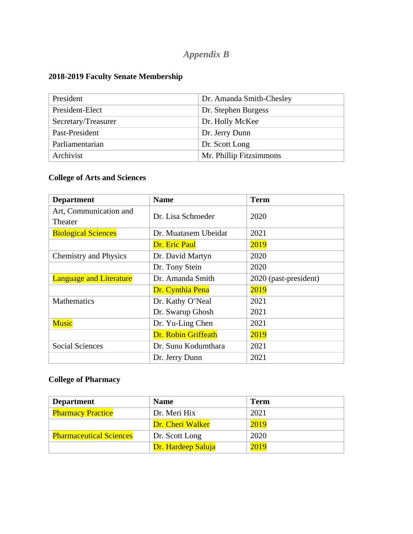# *Appendix B*

# **2018-2019 Faculty Senate Membership**

| President           | Dr. Amanda Smith-Chesley |
|---------------------|--------------------------|
| President-Elect     | Dr. Stephen Burgess      |
| Secretary/Treasurer | Dr. Holly McKee          |
| Past-President      | Dr. Jerry Dunn           |
| Parliamentarian     | Dr. Scott Long           |
| Archivist           | Mr. Phillip Fitzsimmons  |

# **College of Arts and Sciences**

| <b>Department</b>              | <b>Name</b>          | <b>Term</b>           |
|--------------------------------|----------------------|-----------------------|
| Art, Communication and         | Dr. Lisa Schroeder   | 2020                  |
| Theater                        |                      |                       |
| <b>Biological Sciences</b>     | Dr. Muatasem Ubeidat | 2021                  |
|                                | Dr. Eric Paul        | 2019                  |
| <b>Chemistry and Physics</b>   | Dr. David Martyn     | 2020                  |
|                                | Dr. Tony Stein       | 2020                  |
| <b>Language and Literature</b> | Dr. Amanda Smith     | 2020 (past-president) |
|                                | Dr. Cynthia Pena     | 2019                  |
| <b>Mathematics</b>             | Dr. Kathy O'Neal     | 2021                  |
|                                | Dr. Swarup Ghosh     | 2021                  |
| <b>Music</b>                   | Dr. Yu-Ling Chen     | 2021                  |
|                                | Dr. Robin Griffeath  | 2019                  |
| <b>Social Sciences</b>         | Dr. Sunu Kodumthara  | 2021                  |
|                                | Dr. Jerry Dunn       | 2021                  |

# **College of Pharmacy**

| <b>Department</b>              | <b>Name</b>        | <b>Term</b> |
|--------------------------------|--------------------|-------------|
| <b>Pharmacy Practice</b>       | Dr. Meri Hix       | 2021        |
|                                | Dr. Cheri Walker   | 2019        |
| <b>Pharmaceutical Sciences</b> | Dr. Scott Long     | 2020        |
|                                | Dr. Hardeep Saluja | 2019        |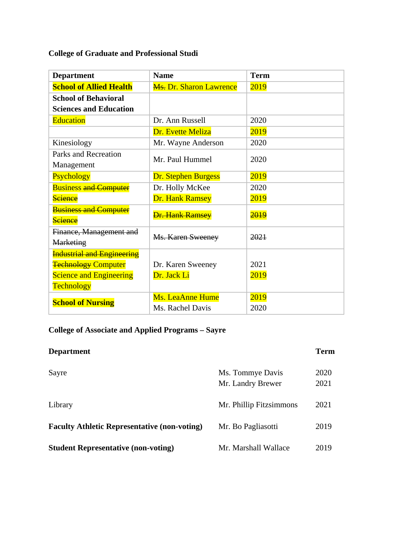# **College of Graduate and Professional Studi**

| <b>Department</b>                 | <b>Name</b>                               | <b>Term</b> |
|-----------------------------------|-------------------------------------------|-------------|
| <b>School of Allied Health</b>    | <b>M<sub>s</sub>.</b> Dr. Sharon Lawrence | 2019        |
| <b>School of Behavioral</b>       |                                           |             |
| <b>Sciences and Education</b>     |                                           |             |
| <b>Education</b>                  | Dr. Ann Russell                           | 2020        |
|                                   | Dr. Evette Meliza                         | 2019        |
| Kinesiology                       | Mr. Wayne Anderson                        | 2020        |
| Parks and Recreation              | Mr. Paul Hummel                           | 2020        |
| Management                        |                                           |             |
| Psychology                        | <b>Dr. Stephen Burgess</b>                | 2019        |
| <b>Business and Computer</b>      | Dr. Holly McKee                           | 2020        |
| Science                           | <b>Dr. Hank Ramsey</b>                    | 2019        |
| <b>Business and Computer</b>      | <b>Dr. Hank Ramsey</b>                    | <b>2019</b> |
| <b>Science</b>                    |                                           |             |
| Finance, Management and           | <b>Ms. Karen Sweeney</b>                  | 2021        |
| <b>Marketing</b>                  |                                           |             |
| <b>Industrial and Engineering</b> |                                           |             |
| <b>Technology Computer</b>        | Dr. Karen Sweeney                         | 2021        |
| <b>Science and Engineering</b>    | Dr. Jack Li                               | 2019        |
| <b>Technology</b>                 |                                           |             |
| <b>School of Nursing</b>          | <b>Ms. LeaAnne Hume</b>                   | 2019        |
|                                   | Ms. Rachel Davis                          | 2020        |

# **College of Associate and Applied Programs – Sayre**

| <b>Department</b>                                   |                                       | <b>Term</b>  |
|-----------------------------------------------------|---------------------------------------|--------------|
| Sayre                                               | Ms. Tommye Davis<br>Mr. Landry Brewer | 2020<br>2021 |
| Library                                             | Mr. Phillip Fitzsimmons               | 2021         |
| <b>Faculty Athletic Representative (non-voting)</b> | Mr. Bo Pagliasotti                    | 2019         |
| <b>Student Representative (non-voting)</b>          | Mr. Marshall Wallace                  | 2019         |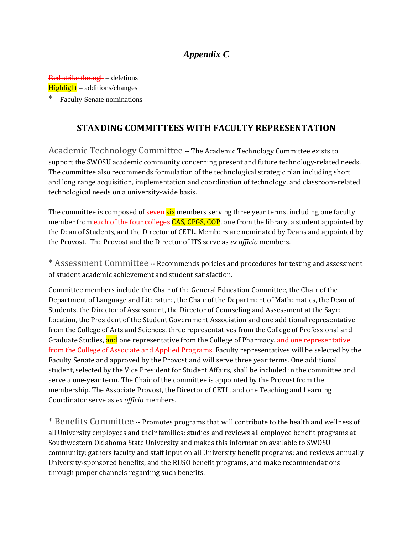# *Appendix C*

Red strike through – deletions Highlight – additions/changes \* – Faculty Senate nominations

### **STANDING COMMITTEES WITH FACULTY REPRESENTATION**

Academic Technology Committee -- The Academic Technology Committee exists to support the SWOSU academic community concerning present and future technology-related needs. The committee also recommends formulation of the technological strategic plan including short and long range acquisition, implementation and coordination of technology, and classroom-related technological needs on a university-wide basis.

The committee is composed of seven six members serving three year terms, including one faculty member from each of the four colleges CAS, CPGS, COP, one from the library, a student appointed by the Dean of Students, and the Director of CETL. Members are nominated by Deans and appointed by the Provost. The Provost and the Director of ITS serve as *ex officio* members.

\* Assessment Committee -- Recommends policies and procedures for testing and assessment of student academic achievement and student satisfaction.

Committee members include the Chair of the General Education Committee, the Chair of the Department of Language and Literature, the Chair of the Department of Mathematics, the Dean of Students, the Director of Assessment, the Director of Counseling and Assessment at the Sayre Location, the President of the Student Government Association and one additional representative from the College of Arts and Sciences, three representatives from the College of Professional and Graduate Studies, and one representative from the College of Pharmacy. and one representative from the College of Associate and Applied Programs. Faculty representatives will be selected by the Faculty Senate and approved by the Provost and will serve three year terms. One additional student, selected by the Vice President for Student Affairs, shall be included in the committee and serve a one-year term. The Chair of the committee is appointed by the Provost from the membership. The Associate Provost, the Director of CETL, and one Teaching and Learning Coordinator serve as *ex officio* members.

\* Benefits Committee -- Promotes programs that will contribute to the health and wellness of all University employees and their families; studies and reviews all employee benefit programs at Southwestern Oklahoma State University and makes this information available to SWOSU community; gathers faculty and staff input on all University benefit programs; and reviews annually University-sponsored benefits, and the RUSO benefit programs, and make recommendations through proper channels regarding such benefits.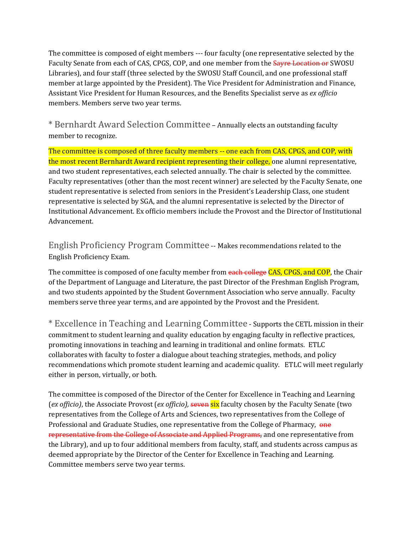The committee is composed of eight members --- four faculty (one representative selected by the Faculty Senate from each of CAS, CPGS, COP, and one member from the **Sayre Location or** SWOSU Libraries), and four staff (three selected by the SWOSU Staff Council, and one professional staff member at large appointed by the President). The Vice President for Administration and Finance, Assistant Vice President for Human Resources, and the Benefits Specialist serve as *ex officio* members. Members serve two year terms.

\* Bernhardt Award Selection Committee - Annually elects an outstanding faculty member to recognize.

The committee is composed of three faculty members -- one each from CAS, CPGS, and COP, with the most recent Bernhardt Award recipient representing their college, one alumni representative, and two student representatives, each selected annually. The chair is selected by the committee. Faculty representatives (other than the most recent winner) are selected by the Faculty Senate, one student representative is selected from seniors in the President's Leadership Class, one student representative is selected by SGA, and the alumni representative is selected by the Director of Institutional Advancement. Ex officio members include the Provost and the Director of Institutional Advancement. 

English Proficiency Program Committee -- Makes recommendations related to the English Proficiency Exam. 

The committee is composed of one faculty member from each college CAS, CPGS, and COP, the Chair of the Department of Language and Literature, the past Director of the Freshman English Program, and two students appointed by the Student Government Association who serve annually. Faculty members serve three year terms, and are appointed by the Provost and the President.

\* Excellence in Teaching and Learning Committee - Supports the CETL mission in their commitment to student learning and quality education by engaging faculty in reflective practices, promoting innovations in teaching and learning in traditional and online formats. ETLC collaborates with faculty to foster a dialogue about teaching strategies, methods, and policy recommendations which promote student learning and academic quality. ETLC will meet regularly either in person, virtually, or both.

The committee is composed of the Director of the Center for Excellence in Teaching and Learning (*ex officio*), the Associate Provost (*ex officio*), seven six faculty chosen by the Faculty Senate (two representatives from the College of Arts and Sciences, two representatives from the College of Professional and Graduate Studies, one representative from the College of Pharmacy,  $\rho_{\text{He}}$ representative from the College of Associate and Applied Programs, and one representative from the Library), and up to four additional members from faculty, staff, and students across campus as deemed appropriate by the Director of the Center for Excellence in Teaching and Learning. Committee members serve two year terms.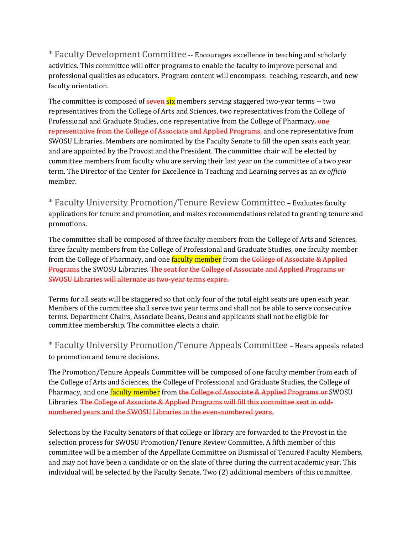\* Faculty Development Committee -- Encourages excellence in teaching and scholarly activities. This committee will offer programs to enable the faculty to improve personal and professional qualities as educators. Program content will encompass: teaching, research, and new faculty orientation.

The committee is composed of  $\frac{\text{seven}}{\text{six}}$  members serving staggered two-year terms -- two representatives from the College of Arts and Sciences, two representatives from the College of Professional and Graduate Studies, one representative from the College of Pharmacy, one representative from the College of Associate and Applied Programs, and one representative from SWOSU Libraries. Members are nominated by the Faculty Senate to fill the open seats each year, and are appointed by the Provost and the President. The committee chair will be elected by committee members from faculty who are serving their last year on the committee of a two year term. The Director of the Center for Excellence in Teaching and Learning serves as an *ex officio* member. 

\* Faculty University Promotion/Tenure Review Committee – Evaluates faculty applications for tenure and promotion, and makes recommendations related to granting tenure and promotions. 

The committee shall be composed of three faculty members from the College of Arts and Sciences, three faculty members from the College of Professional and Graduate Studies, one faculty member from the College of Pharmacy, and one faculty member from the College of Associate & Applied Programs the SWOSU Libraries. The seat for the College of Associate and Applied Programs or SWOSU Libraries will alternate as two-year terms expire.

Terms for all seats will be staggered so that only four of the total eight seats are open each year. Members of the committee shall serve two year terms and shall not be able to serve consecutive terms. Department Chairs, Associate Deans, Deans and applicants shall not be eligible for committee membership. The committee elects a chair.

\* Faculty University Promotion/Tenure Appeals Committee **–** Hears appeals related to promotion and tenure decisions.

The Promotion/Tenure Appeals Committee will be composed of one faculty member from each of the College of Arts and Sciences, the College of Professional and Graduate Studies, the College of Pharmacy, and one **faculty member** from the College of Associate & Applied Programs or SWOSU Libraries. The College of Associate & Applied Programs will fill this committee seat in oddnumbered years and the SWOSU Libraries in the even-numbered years.

Selections by the Faculty Senators of that college or library are forwarded to the Provost in the selection process for SWOSU Promotion/Tenure Review Committee. A fifth member of this committee will be a member of the Appellate Committee on Dismissal of Tenured Faculty Members, and may not have been a candidate or on the slate of three during the current academic year. This individual will be selected by the Faculty Senate. Two (2) additional members of this committee,